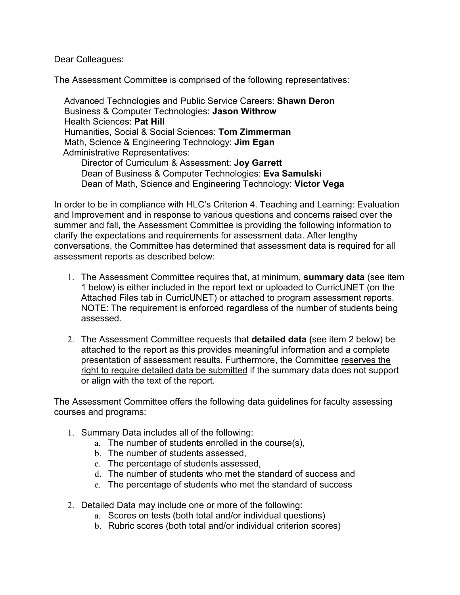Dear Colleagues:

The Assessment Committee is comprised of the following representatives:

 Advanced Technologies and Public Service Careers: **Shawn Deron** Business & Computer Technologies: **Jason Withrow** Health Sciences: **Pat Hill** Humanities, Social & Social Sciences: **Tom Zimmerman** Math, Science & Engineering Technology: **Jim Egan** Administrative Representatives:

Director of Curriculum & Assessment: **Joy Garrett** Dean of Business & Computer Technologies: **Eva Samulski** Dean of Math, Science and Engineering Technology: **Victor Vega**

In order to be in compliance with HLC's Criterion 4. Teaching and Learning: Evaluation and Improvement and in response to various questions and concerns raised over the summer and fall, the Assessment Committee is providing the following information to clarify the expectations and requirements for assessment data. After lengthy conversations, the Committee has determined that assessment data is required for all assessment reports as described below:

- 1. The Assessment Committee requires that, at minimum, **summary data** (see item 1 below) is either included in the report text or uploaded to CurricUNET (on the Attached Files tab in CurricUNET) or attached to program assessment reports. NOTE: The requirement is enforced regardless of the number of students being assessed.
- 2. The Assessment Committee requests that **detailed data (**see item 2 below) be attached to the report as this provides meaningful information and a complete presentation of assessment results. Furthermore, the Committee reserves the right to require detailed data be submitted if the summary data does not support or align with the text of the report.

The Assessment Committee offers the following data guidelines for faculty assessing courses and programs:

- 1. Summary Data includes all of the following:
	- a. The number of students enrolled in the course(s),
	- b. The number of students assessed,
	- c. The percentage of students assessed,
	- d. The number of students who met the standard of success and
	- e. The percentage of students who met the standard of success
- 2. Detailed Data may include one or more of the following:
	- a. Scores on tests (both total and/or individual questions)
	- b. Rubric scores (both total and/or individual criterion scores)